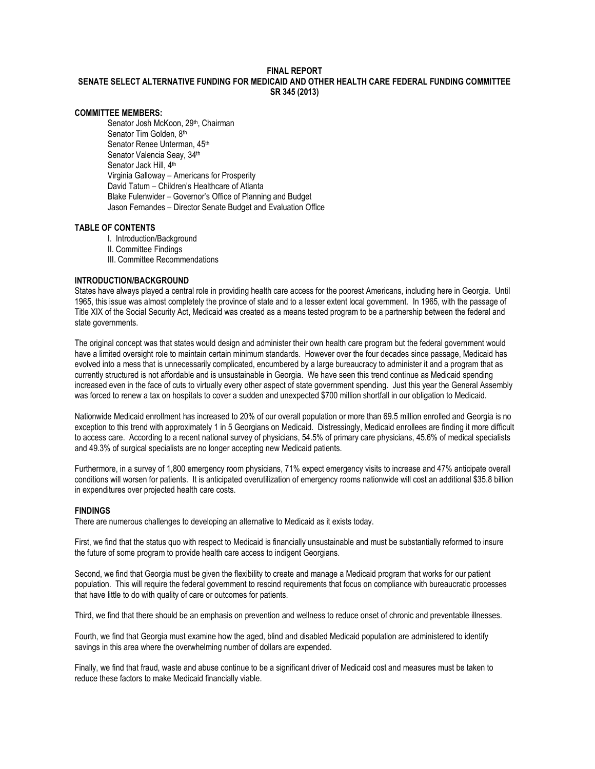# FINAL REPORT SENATE SELECT ALTERNATIVE FUNDING FOR MEDICAID AND OTHER HEALTH CARE FEDERAL FUNDING COMMITTEE SR 345 (2013)

## COMMITTEE MEMBERS:

Senator Josh McKoon, 29<sup>th</sup>, Chairman Senator Tim Golden, 8th Senator Renee Unterman, 45th Senator Valencia Seav, 34th Senator Jack Hill, 4<sup>th</sup> Virginia Galloway – Americans for Prosperity David Tatum – Children's Healthcare of Atlanta Blake Fulenwider – Governor's Office of Planning and Budget Jason Fernandes – Director Senate Budget and Evaluation Office

#### TABLE OF CONTENTS

- I. Introduction/Background
- II. Committee Findings
- III. Committee Recommendations

## INTRODUCTION/BACKGROUND

States have always played a central role in providing health care access for the poorest Americans, including here in Georgia. Until 1965, this issue was almost completely the province of state and to a lesser extent local government. In 1965, with the passage of Title XIX of the Social Security Act, Medicaid was created as a means tested program to be a partnership between the federal and state governments.

The original concept was that states would design and administer their own health care program but the federal government would have a limited oversight role to maintain certain minimum standards. However over the four decades since passage, Medicaid has evolved into a mess that is unnecessarily complicated, encumbered by a large bureaucracy to administer it and a program that as currently structured is not affordable and is unsustainable in Georgia. We have seen this trend continue as Medicaid spending increased even in the face of cuts to virtually every other aspect of state government spending. Just this year the General Assembly was forced to renew a tax on hospitals to cover a sudden and unexpected \$700 million shortfall in our obligation to Medicaid.

Nationwide Medicaid enrollment has increased to 20% of our overall population or more than 69.5 million enrolled and Georgia is no exception to this trend with approximately 1 in 5 Georgians on Medicaid. Distressingly, Medicaid enrollees are finding it more difficult to access care. According to a recent national survey of physicians, 54.5% of primary care physicians, 45.6% of medical specialists and 49.3% of surgical specialists are no longer accepting new Medicaid patients.

Furthermore, in a survey of 1,800 emergency room physicians, 71% expect emergency visits to increase and 47% anticipate overall conditions will worsen for patients. It is anticipated overutilization of emergency rooms nationwide will cost an additional \$35.8 billion in expenditures over projected health care costs.

#### FINDINGS

There are numerous challenges to developing an alternative to Medicaid as it exists today.

First, we find that the status quo with respect to Medicaid is financially unsustainable and must be substantially reformed to insure the future of some program to provide health care access to indigent Georgians.

Second, we find that Georgia must be given the flexibility to create and manage a Medicaid program that works for our patient population. This will require the federal government to rescind requirements that focus on compliance with bureaucratic processes that have little to do with quality of care or outcomes for patients.

Third, we find that there should be an emphasis on prevention and wellness to reduce onset of chronic and preventable illnesses.

Fourth, we find that Georgia must examine how the aged, blind and disabled Medicaid population are administered to identify savings in this area where the overwhelming number of dollars are expended.

Finally, we find that fraud, waste and abuse continue to be a significant driver of Medicaid cost and measures must be taken to reduce these factors to make Medicaid financially viable.